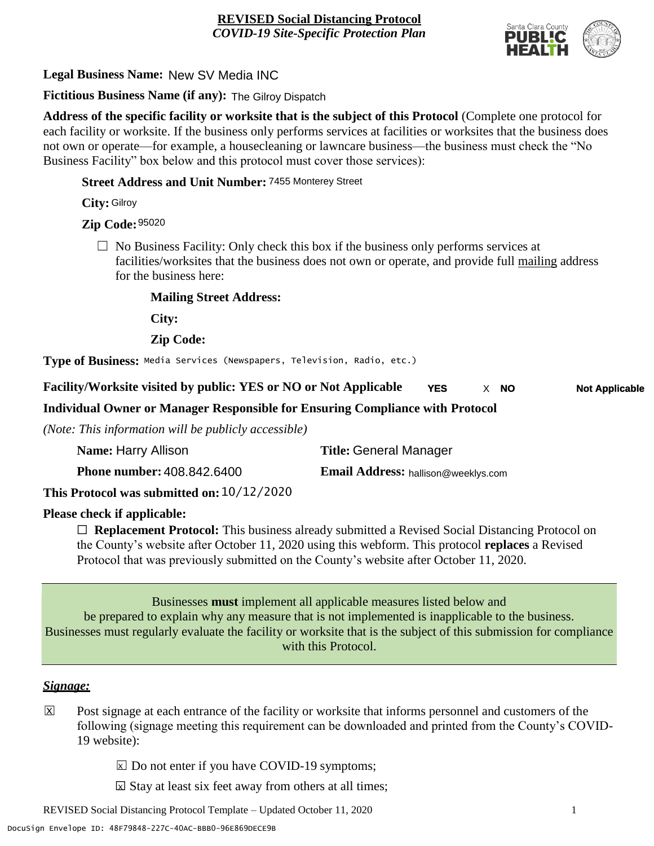

**Legal Business Name:** New SV Media INC

**Fictitious Business Name (if any):** The Gilroy Dispatch

**Address of the specific facility or worksite that is the subject of this Protocol** (Complete one protocol for each facility or worksite. If the business only performs services at facilities or worksites that the business does not own or operate—for example, a housecleaning or lawncare business—the business must check the "No Business Facility" box below and this protocol must cover those services):

**Street Address and Unit Number:** 7455 Monterey Street

**City:** Gilroy

**Zip Code:** 95020

 $\Box$  No Business Facility: Only check this box if the business only performs services at facilities/worksites that the business does not own or operate, and provide full mailing address for the business here:

**Mailing Street Address:**

**City:**

**Zip Code:**

**Type of Business:** Media Services (Newspapers, Television, Radio, etc.)

**Facility/Worksite visited by public: YES or NO or Not Applicable YES NO** X **Not Applicable**

**Individual Owner or Manager Responsible for Ensuring Compliance with Protocol**

*(Note: This information will be publicly accessible)*

| Name: Harry Allison                        | <b>Title: General Manager</b>       |
|--------------------------------------------|-------------------------------------|
| <b>Phone number: 408.842.6400</b>          | Email Address: hallison@weeklys.com |
| This Protocol was submitted on: 10/12/2020 |                                     |

**Please check if applicable:**

☐ **Replacement Protocol:** This business already submitted a Revised Social Distancing Protocol on the County's website after October 11, 2020 using this webform. This protocol **replaces** a Revised Protocol that was previously submitted on the County's website after October 11, 2020.

Businesses **must** implement all applicable measures listed below and be prepared to explain why any measure that is not implemented is inapplicable to the business. Businesses must regularly evaluate the facility or worksite that is the subject of this submission for compliance with this Protocol.

#### *Signage:*

Post signage at each entrance of the facility or worksite that informs personnel and customers of the following (signage meeting this requirement can be downloaded and printed from the County's COVID-19 website):  $|\overline{x}|$ 

 $\boxed{\times}$  Do not enter if you have COVID-19 symptoms;

 $\boxtimes$  Stay at least six feet away from others at all times;

REVISED Social Distancing Protocol Template – Updated October 11, 2020 1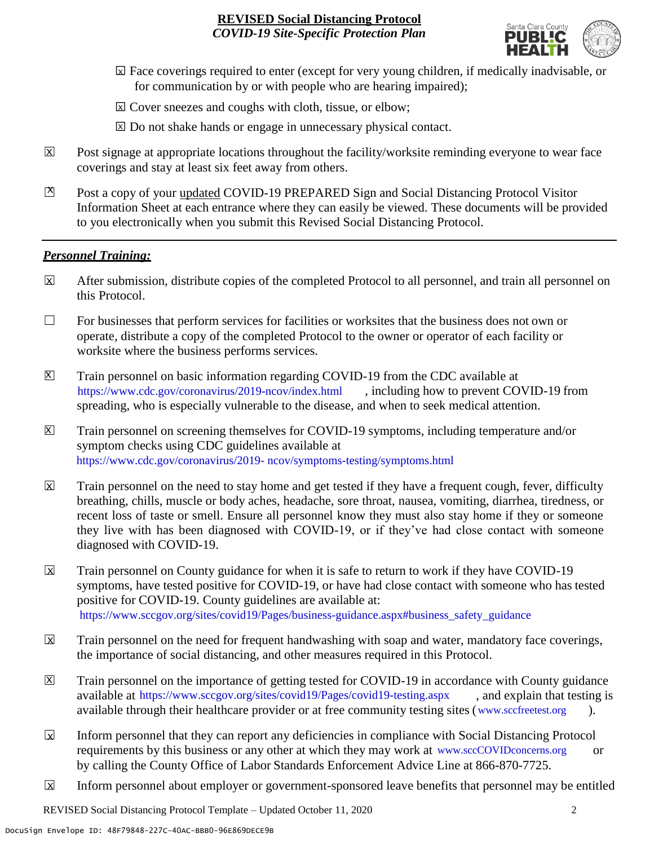

- ☐ Face coverings required to enter (except for very young children, if medically inadvisable, or X for communication by or with people who are hearing impaired);
- ⊠ Cover sneezes and coughs with cloth, tissue, or elbow;
- ⊠ Do not shake hands or engage in unnecessary physical contact.
- Post signage at appropriate locations throughout the facility/worksite reminding everyone to wear face coverings and stay at least six feet away from others. X
- Post a copy of your updated COVID-19 PREPARED Sign and Social Distancing Protocol Visitor Information Sheet at each entrance where they can easily be viewed. These documents will be provided to you electronically when you submit this Revised Social Distancing Protocol.  $\mathbb{Z}$

#### *Personnel Training:*

- After submission, distribute copies of the completed Protocol to all personnel, and train all personnel on this Protocol.  $\mathbf x$
- $\Box$  For businesses that perform services for facilities or worksites that the business does not own or operate, distribute a copy of the completed Protocol to the owner or operator of each facility or worksite where the business performs services.
- Train personnel on basic information regarding COVID-19 from the CDC available at [https://www.cdc.gov/coronavirus/2019-ncov/index.html,](https://www.cdc.gov/coronavirus/2019-ncov/index.html) including how to prevent COVID-19 from spreading, who is especially vulnerable to the disease, and when to seek medical attention.  $\mathsf{X}$
- Train personnel on screening themselves for COVID-19 symptoms, including temperature and/or symptom checks using CDC guidelines available at [https://www.cdc.gov/coronavirus/2019-](https://www.cdc.gov/coronavirus/2019-ncov/symptoms-testing/symptoms.html) [ncov/symptoms-testing/symptoms.html.](https://www.cdc.gov/coronavirus/2019-ncov/symptoms-testing/symptoms.html) https://www.cdc.gov/coronavirus/2019- ncov/symptoms-testing/symptoms.html  $|\mathsf{X}|$
- Train personnel on the need to stay home and get tested if they have a frequent cough, fever, difficulty breathing, chills, muscle or body aches, headache, sore throat, nausea, vomiting, diarrhea, tiredness, or recent loss of taste or smell. Ensure all personnel know they must also stay home if they or someone they live with has been diagnosed with COVID-19, or if they've had close contact with someone diagnosed with COVID-19.  $\overline{\mathsf{x}}$
- Train personnel on County guidance for when it is safe to return to work if they have COVID-19 symptoms, have tested positive for COVID-19, or have had close contact with someone who has tested positive for COVID-19. County guidelines are available at: [https://www.sccgov.org/sites/covid19/Pages/business-guidance.aspx#business\\_safety\\_guidance.](https://www.sccgov.org/sites/covid19/Pages/business-guidance.aspx#business_safety_guidance.) https://www.sccgov.org/sites/covid19/Pages/business-guidance.aspx#business\_safety\_guidanceX
- Train personnel on the need for frequent handwashing with soap and water, mandatory face coverings, the importance of social distancing, and other measures required in this Protocol.  $\overline{\mathsf{x}}$
- Train personnel on the importance of getting tested for COVID-19 in accordance with County guidance available at [https://www.sccgov.org/sites/covid19/Pages/covid19-testing.aspx,](https://www.sccgov.org/sites/covid19/Pages/covid19-testing.aspx) and explain that testing is available through their healthcare provider or at free community testing sites [\(www.sccfreetest.org](http://www.sccfreetest.org/) ).  $\vert X \vert$
- Inform personnel that they can report any deficiencies in compliance with Social Distancing Protocol requirements by this business or any other at which they may work at [www.sccCOVIDconcerns.org](http://www.scccovidconcerns.org/) or by calling the County Office of Labor Standards Enforcement Advice Line at 866-870-7725.  $\overline{\mathbf{x}}$
- Inform personnel about employer or government-sponsored leave benefits that personnel may be entitled  $\boxtimes$

REVISED Social Distancing Protocol Template – Updated October 11, 2020 2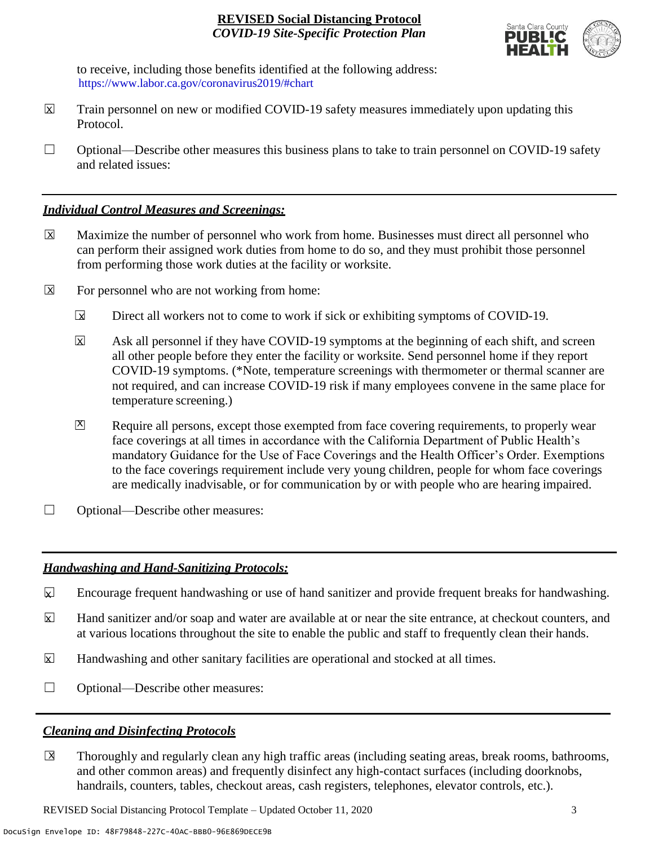

to receive, including those benefits identified at the following address: [https://www.labor.ca.gov/coronavirus2019/#chart.](https://www.labor.ca.gov/coronavirus2019/#chart) https://www.labor.ca.gov/coronavirus2019/#chart

- Train personnel on new or modified COVID-19 safety measures immediately upon updating this Protocol.  $\boxtimes$
- $\Box$  Optional—Describe other measures this business plans to take to train personnel on COVID-19 safety and related issues:

### *Individual Control Measures and Screenings:*

- Maximize the number of personnel who work from home. Businesses must direct all personnel who can perform their assigned work duties from home to do so, and they must prohibit those personnel from performing those work duties at the facility or worksite.  $|\overline{X}|$
- For personnel who are not working from home:  $\boxtimes$ 
	- Direct all workers not to come to work if sick or exhibiting symptoms of COVID-19.  $\overline{\mathbf{x}}$
	- Ask all personnel if they have COVID-19 symptoms at the beginning of each shift, and screen all other people before they enter the facility or worksite. Send personnel home if they report COVID-19 symptoms. (\*Note, temperature screenings with thermometer or thermal scanner are not required, and can increase COVID-19 risk if many employees convene in the same place for temperature screening.) X
	- Require all persons, except those exempted from face covering requirements, to properly wear face coverings at all times in accordance with the California Department of Public Health's mandatory Guidance for the Use of Face Coverings and the Health Officer's Order. Exemptions to the face coverings requirement include very young children, people for whom face coverings are medically inadvisable, or for communication by or with people who are hearing impaired.  $\mathbf{X}$
- ☐ Optional—Describe other measures:

## *Handwashing and Hand-Sanitizing Protocols:*

- Encourage frequent handwashing or use of hand sanitizer and provide frequent breaks for handwashing.  $\mathbf{x}$
- Hand sanitizer and/or soap and water are available at or near the site entrance, at checkout counters, and at various locations throughout the site to enable the public and staff to frequently clean their hands.  $\overline{\mathbf{x}}$
- Handwashing and other sanitary facilities are operational and stocked at all times.  $\mathbf{x}$
- ☐ Optional—Describe other measures:

## *Cleaning and Disinfecting Protocols*

☐ Thoroughly and regularly clean any high traffic areas (including seating areas, break rooms, bathrooms, and other common areas) and frequently disinfect any high-contact surfaces (including doorknobs, handrails, counters, tables, checkout areas, cash registers, telephones, elevator controls, etc.).  $\overline{\mathsf{x}}$ 

REVISED Social Distancing Protocol Template – Updated October 11, 2020 3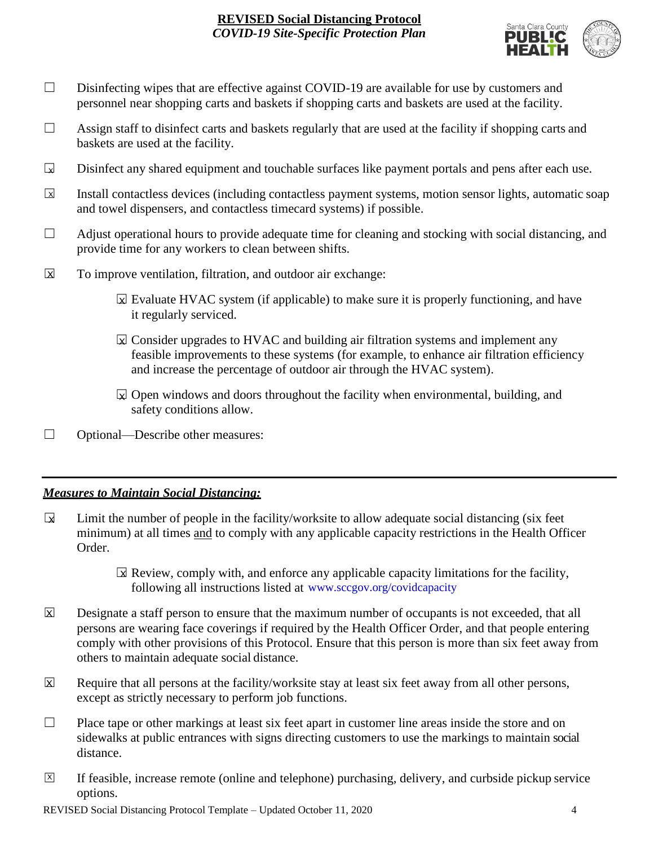

- □ Disinfecting wipes that are effective against COVID-19 are available for use by customers and personnel near shopping carts and baskets if shopping carts and baskets are used at the facility.
- $\Box$  Assign staff to disinfect carts and baskets regularly that are used at the facility if shopping carts and baskets are used at the facility.
- Disinfect any shared equipment and touchable surfaces like payment portals and pens after each use.  $\Box$
- Install contactless devices (including contactless payment systems, motion sensor lights, automatic soap and towel dispensers, and contactless timecard systems) if possible.  $\overline{\mathbf{x}}$
- $\Box$  Adjust operational hours to provide adequate time for cleaning and stocking with social distancing, and provide time for any workers to clean between shifts.
- To improve ventilation, filtration, and outdoor air exchange:  $\overline{\mathsf{x}}$ 
	- $\boxtimes$  Evaluate HVAC system (if applicable) to make sure it is properly functioning, and have it regularly serviced.
	- $\boxtimes$  Consider upgrades to HVAC and building air filtration systems and implement any feasible improvements to these systems (for example, to enhance air filtration efficiency and increase the percentage of outdoor air through the HVAC system).
	- $\boxdot$  Open windows and doors throughout the facility when environmental, building, and safety conditions allow.
- ☐ Optional—Describe other measures:

## *Measures to Maintain Social Distancing:*

- Limit the number of people in the facility/worksite to allow adequate social distancing (six feet minimum) at all times and to comply with any applicable capacity restrictions in the Health Officer Order.  $\mathbf{r}$ 
	- $\boxtimes$  Review, comply with, and enforce any applicable capacity limitations for the facility, following all instructions listed at www.sccgov.org/covidcapacity
- Designate a staff person to ensure that the maximum number of occupants is not exceeded, that all persons are wearing face coverings if required by the Health Officer Order, and that people entering comply with other provisions of this Protocol. Ensure that this person is more than six feet away from others to maintain adequate social distance.  $\overline{\mathsf{x}}$
- Require that all persons at the facility/worksite stay at least six feet away from all other persons, except as strictly necessary to perform job functions. X
- $\Box$  Place tape or other markings at least six feet apart in customer line areas inside the store and on sidewalks at public entrances with signs directing customers to use the markings to maintain social distance.
- ☐ If feasible, increase remote (online and telephone) purchasing, delivery, and curbside pickup service options.  $\overline{X}$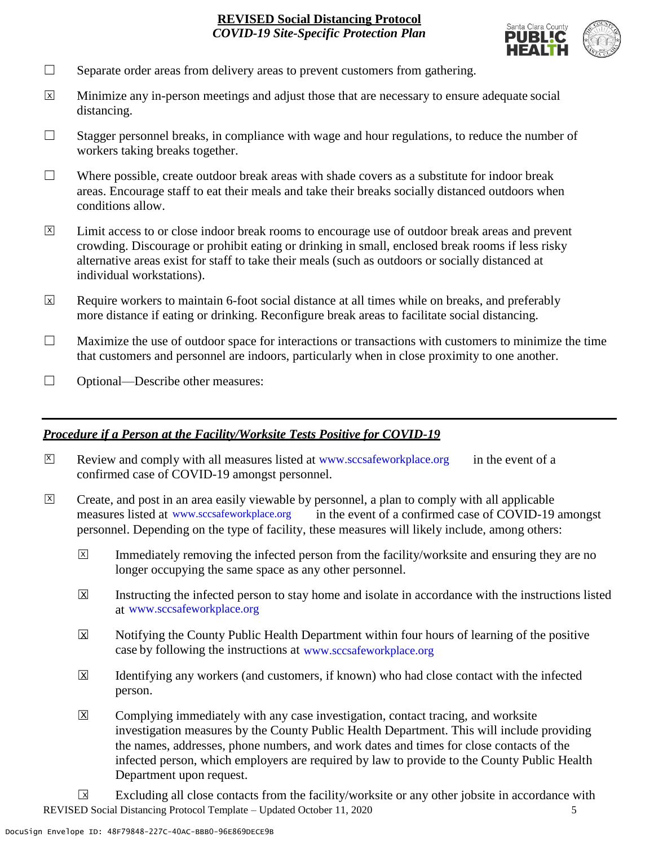

- $\Box$  Separate order areas from delivery areas to prevent customers from gathering.
- Minimize any in-person meetings and adjust those that are necessary to ensure adequate social distancing.  $\overline{x}$
- $\Box$  Stagger personnel breaks, in compliance with wage and hour regulations, to reduce the number of workers taking breaks together.
- $\Box$  Where possible, create outdoor break areas with shade covers as a substitute for indoor break areas. Encourage staff to eat their meals and take their breaks socially distanced outdoors when conditions allow.
- Limit access to or close indoor break rooms to encourage use of outdoor break areas and prevent crowding. Discourage or prohibit eating or drinking in small, enclosed break rooms if less risky alternative areas exist for staff to take their meals (such as outdoors or socially distanced at individual workstations).  $\overline{X}$
- Require workers to maintain 6-foot social distance at all times while on breaks, and preferably more distance if eating or drinking. Reconfigure break areas to facilitate social distancing. X
- $\Box$  Maximize the use of outdoor space for interactions or transactions with customers to minimize the time that customers and personnel are indoors, particularly when in close proximity to one another.
- ☐ Optional—Describe other measures:

#### *Procedure if a Person at the Facility/Worksite Tests Positive for COVID-19*

- $\boxtimes$  Review and comply with all measures listed at [www.sccsafeworkplace.org](http://www.sccsafeworkplace.org/) in the event of a confirmed case of COVID-19 amongst personnel. X
- ☐ Create, and post in an area easily viewable by personnel, a plan to comply with all applicable in the event of a confirmed case of COVID-19 amongst personnel. Depending on the type of facility, these measures will likely include, among others: measures listed at www.sccsafeworkplace.org  $\overline{X}$ 
	- Immediately removing the infected person from the facility/worksite and ensuring they are no longer occupying the same space as any other personnel.  $\overline{X}$
	- Instructing the infected person to stay home and isolate in accordance with the instructions listed at [www.sccsafeworkplace.org.](file:///C:/Users/raphael.rajendra/AppData/Local/Microsoft/Windows/INetCache/Content.Outlook/PTLHNOTE/www.sccsafeworkplace.org) www.sccsafeworkplace.org X
	- Notifying the County Public Health Department within four hours of learning of the positive case by following the instructions at www.sccsafeworkplace.org  $\overline{X}$
	- Identifying any workers (and customers, if known) who had close contact with the infected person.  $\overline{\mathsf{x}}$
	- Complying immediately with any case investigation, contact tracing, and worksite investigation measures by the County Public Health Department. This will include providing the names, addresses, phone numbers, and work dates and times for close contacts of the infected person, which employers are required by law to provide to the County Public Health Department upon request.  $\boxed{\mathsf{X}}$

REVISED Social Distancing Protocol Template – Updated October 11, 2020 5 Excluding all close contacts from the facility/worksite or any other jobsite in accordance with  $\sqrt{X}$